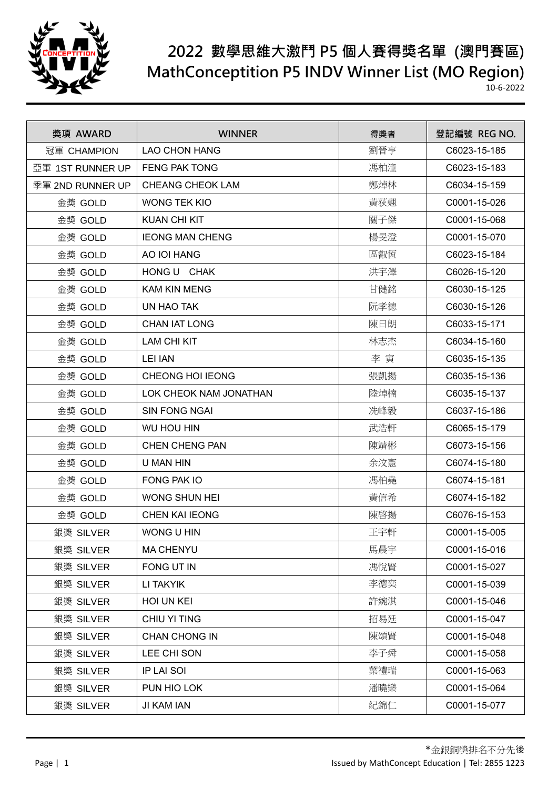

| 獎項 AWARD         | <b>WINNER</b>           | 得獎者 | 登記編號 REG NO. |
|------------------|-------------------------|-----|--------------|
| 冠軍 CHAMPION      | <b>LAO CHON HANG</b>    | 劉晉亨 | C6023-15-185 |
| 亞軍 1ST RUNNER UP | <b>FENG PAK TONG</b>    | 馮柏潼 | C6023-15-183 |
| 季軍 2ND RUNNER UP | <b>CHEANG CHEOK LAM</b> | 鄭焯林 | C6034-15-159 |
| 金獎 GOLD          | <b>WONG TEK KIO</b>     | 黃荻翹 | C0001-15-026 |
| 金獎 GOLD          | <b>KUAN CHI KIT</b>     | 關子傑 | C0001-15-068 |
| 金獎 GOLD          | <b>IEONG MAN CHENG</b>  | 楊旻澄 | C0001-15-070 |
| 金獎 GOLD          | AO IOI HANG             | 區叡恆 | C6023-15-184 |
| 金獎 GOLD          | HONG U CHAK             | 洪宇澤 | C6026-15-120 |
| 金獎 GOLD          | <b>KAM KIN MENG</b>     | 甘健銘 | C6030-15-125 |
| 金獎 GOLD          | UN HAO TAK              | 阮孝德 | C6030-15-126 |
| 金獎 GOLD          | <b>CHAN IAT LONG</b>    | 陳日朗 | C6033-15-171 |
| 金獎 GOLD          | <b>LAM CHI KIT</b>      | 林志杰 | C6034-15-160 |
| 金獎 GOLD          | <b>LEI IAN</b>          | 李寅  | C6035-15-135 |
| 金獎 GOLD          | CHEONG HOI IEONG        | 張凱揚 | C6035-15-136 |
| 金獎 GOLD          | LOK CHEOK NAM JONATHAN  | 陸焯楠 | C6035-15-137 |
| 金獎 GOLD          | <b>SIN FONG NGAI</b>    | 冼峰毅 | C6037-15-186 |
| 金獎 GOLD          | <b>WU HOU HIN</b>       | 武浩軒 | C6065-15-179 |
| 金獎 GOLD          | <b>CHEN CHENG PAN</b>   | 陳靖彬 | C6073-15-156 |
| 金獎 GOLD          | U MAN HIN               | 余汶憲 | C6074-15-180 |
| 金獎 GOLD          | FONG PAK IO             | 馮柏堯 | C6074-15-181 |
| 金獎 GOLD          | <b>WONG SHUN HEI</b>    | 黃信希 | C6074-15-182 |
| 金獎 GOLD          | <b>CHEN KAI IEONG</b>   | 陳啓揚 | C6076-15-153 |
| 銀獎 SILVER        | WONG U HIN              | 王宇軒 | C0001-15-005 |
| 銀獎 SILVER        | <b>MA CHENYU</b>        | 馬晨宇 | C0001-15-016 |
| 銀獎 SILVER        | FONG UT IN              | 馮悅賢 | C0001-15-027 |
| 銀獎 SILVER        | LI TAKYIK               | 李德奕 | C0001-15-039 |
| 銀獎 SILVER        | HOI UN KEI              | 許婉淇 | C0001-15-046 |
| 銀獎 SILVER        | CHIU YI TING            | 招易廷 | C0001-15-047 |
| 銀獎 SILVER        | <b>CHAN CHONG IN</b>    | 陳頌賢 | C0001-15-048 |
| 銀獎 SILVER        | LEE CHI SON             | 李子舜 | C0001-15-058 |
| 銀獎 SILVER        | IP LAI SOI              | 葉禮瑞 | C0001-15-063 |
| 銀獎 SILVER        | PUN HIO LOK             | 潘曉樂 | C0001-15-064 |
| 銀獎 SILVER        | JI KAM IAN              | 紀錦仁 | C0001-15-077 |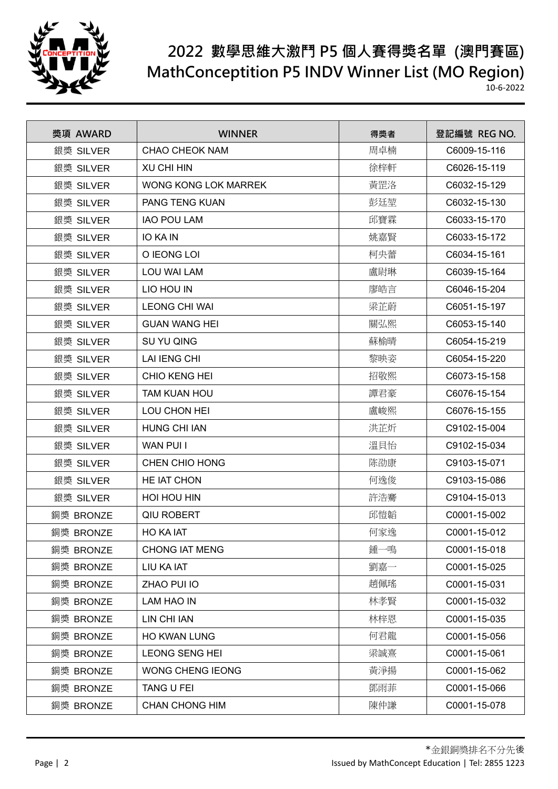

| 獎項 AWARD  | <b>WINNER</b>         | 得獎者 | 登記編號 REG NO. |
|-----------|-----------------------|-----|--------------|
| 銀獎 SILVER | <b>CHAO CHEOK NAM</b> | 周卓楠 | C6009-15-116 |
| 銀獎 SILVER | <b>XU CHI HIN</b>     | 徐梓軒 | C6026-15-119 |
| 銀獎 SILVER | WONG KONG LOK MARREK  | 黃罡洛 | C6032-15-129 |
| 銀獎 SILVER | PANG TENG KUAN        | 彭廷堃 | C6032-15-130 |
| 銀獎 SILVER | <b>IAO POU LAM</b>    | 邱寶霖 | C6033-15-170 |
| 銀獎 SILVER | <b>IO KA IN</b>       | 姚嘉賢 | C6033-15-172 |
| 銀獎 SILVER | O IEONG LOI           | 柯央蕾 | C6034-15-161 |
| 銀獎 SILVER | LOU WAI LAM           | 盧尉琳 | C6039-15-164 |
| 銀獎 SILVER | LIO HOU IN            | 廖皓言 | C6046-15-204 |
| 銀獎 SILVER | <b>LEONG CHI WAI</b>  | 梁芷蔚 | C6051-15-197 |
| 銀獎 SILVER | <b>GUAN WANG HEI</b>  | 關弘熙 | C6053-15-140 |
| 銀獎 SILVER | SU YU QING            | 蘇榆晴 | C6054-15-219 |
| 銀獎 SILVER | <b>LAI IENG CHI</b>   | 黎映姿 | C6054-15-220 |
| 銀獎 SILVER | CHIO KENG HEI         | 招敬熙 | C6073-15-158 |
| 銀獎 SILVER | <b>TAM KUAN HOU</b>   | 譚君豪 | C6076-15-154 |
| 銀獎 SILVER | LOU CHON HEI          | 盧峻熙 | C6076-15-155 |
| 銀獎 SILVER | <b>HUNG CHI IAN</b>   | 洪芷炘 | C9102-15-004 |
| 銀獎 SILVER | <b>WAN PUI I</b>      | 溫貝怡 | C9102-15-034 |
| 銀獎 SILVER | CHEN CHIO HONG        | 陈劭康 | C9103-15-071 |
| 銀獎 SILVER | HE IAT CHON           | 何逸俊 | C9103-15-086 |
| 銀獎 SILVER | HOI HOU HIN           | 許浩騫 | C9104-15-013 |
| 銅獎 BRONZE | <b>QIU ROBERT</b>     | 邱愷韜 | C0001-15-002 |
| 銅獎 BRONZE | <b>HO KA IAT</b>      | 何家逸 | C0001-15-012 |
| 銅獎 BRONZE | <b>CHONG IAT MENG</b> | 鍾一鳴 | C0001-15-018 |
| 銅獎 BRONZE | LIU KA IAT            | 劉嘉一 | C0001-15-025 |
| 銅獎 BRONZE | ZHAO PUI IO           | 趙佩瑤 | C0001-15-031 |
| 銅獎 BRONZE | LAM HAO IN            | 林孝賢 | C0001-15-032 |
| 銅獎 BRONZE | <b>LIN CHI IAN</b>    | 林梓恩 | C0001-15-035 |
| 銅獎 BRONZE | <b>HO KWAN LUNG</b>   | 何君龍 | C0001-15-056 |
| 銅獎 BRONZE | <b>LEONG SENG HEI</b> | 梁誠熹 | C0001-15-061 |
| 銅獎 BRONZE | WONG CHENG IEONG      | 黃淨揚 | C0001-15-062 |
| 銅獎 BRONZE | TANG U FEI            | 鄧雨菲 | C0001-15-066 |
| 銅獎 BRONZE | <b>CHAN CHONG HIM</b> | 陳仲謙 | C0001-15-078 |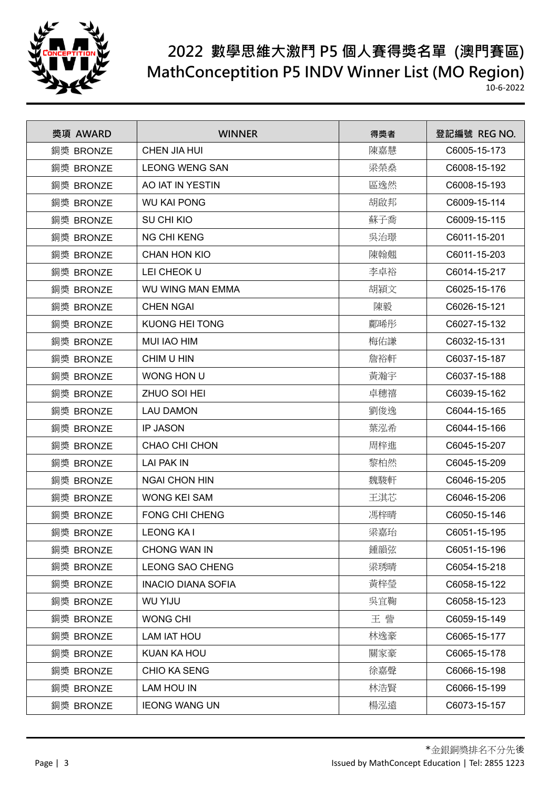

| 獎項 AWARD  | <b>WINNER</b>             | 得獎者 | 登記編號 REG NO. |
|-----------|---------------------------|-----|--------------|
| 銅獎 BRONZE | <b>CHEN JIA HUI</b>       | 陳嘉慧 | C6005-15-173 |
| 銅獎 BRONZE | <b>LEONG WENG SAN</b>     | 梁榮桑 | C6008-15-192 |
| 銅獎 BRONZE | AO IAT IN YESTIN          | 區逸然 | C6008-15-193 |
| 銅獎 BRONZE | <b>WU KAI PONG</b>        | 胡啟邦 | C6009-15-114 |
| 銅獎 BRONZE | SU CHI KIO                | 蘇子喬 | C6009-15-115 |
| 銅獎 BRONZE | <b>NG CHI KENG</b>        | 吳治璟 | C6011-15-201 |
| 銅獎 BRONZE | <b>CHAN HON KIO</b>       | 陳翰翹 | C6011-15-203 |
| 銅獎 BRONZE | LEI CHEOK U               | 李卓裕 | C6014-15-217 |
| 銅獎 BRONZE | <b>WU WING MAN EMMA</b>   | 胡潁文 | C6025-15-176 |
| 銅獎 BRONZE | <b>CHEN NGAI</b>          | 陳毅  | C6026-15-121 |
| 銅獎 BRONZE | <b>KUONG HEI TONG</b>     | 鄺晞彤 | C6027-15-132 |
| 銅獎 BRONZE | <b>MUI IAO HIM</b>        | 梅佑謙 | C6032-15-131 |
| 銅獎 BRONZE | CHIM U HIN                | 詹裕軒 | C6037-15-187 |
| 銅獎 BRONZE | WONG HON U                | 黃瀚宇 | C6037-15-188 |
| 銅獎 BRONZE | ZHUO SOI HEI              | 卓穗禧 | C6039-15-162 |
| 銅獎 BRONZE | <b>LAU DAMON</b>          | 劉俊逸 | C6044-15-165 |
| 銅獎 BRONZE | <b>IP JASON</b>           | 葉泓希 | C6044-15-166 |
| 銅獎 BRONZE | CHAO CHI CHON             | 周梓進 | C6045-15-207 |
| 銅獎 BRONZE | LAI PAK IN                | 黎柏然 | C6045-15-209 |
| 銅獎 BRONZE | <b>NGAI CHON HIN</b>      | 魏駿軒 | C6046-15-205 |
| 銅獎 BRONZE | <b>WONG KEI SAM</b>       | 王淇芯 | C6046-15-206 |
| 銅獎 BRONZE | <b>FONG CHI CHENG</b>     | 馮梓晴 | C6050-15-146 |
| 銅獎 BRONZE | <b>LEONG KAI</b>          | 梁嘉珆 | C6051-15-195 |
| 銅獎 BRONZE | <b>CHONG WAN IN</b>       | 鍾韻弦 | C6051-15-196 |
| 銅獎 BRONZE | <b>LEONG SAO CHENG</b>    | 梁琇晴 | C6054-15-218 |
| 銅獎 BRONZE | <b>INACIO DIANA SOFIA</b> | 黃梓瑩 | C6058-15-122 |
| 銅獎 BRONZE | <b>WU YIJU</b>            | 吳宜鞠 | C6058-15-123 |
| 銅獎 BRONZE | <b>WONG CHI</b>           | 王訾  | C6059-15-149 |
| 銅獎 BRONZE | LAM IAT HOU               | 林逸豪 | C6065-15-177 |
| 銅獎 BRONZE | KUAN KA HOU               | 關家豪 | C6065-15-178 |
| 銅獎 BRONZE | <b>CHIO KA SENG</b>       | 徐嘉聲 | C6066-15-198 |
| 銅獎 BRONZE | <b>LAM HOU IN</b>         | 林浩賢 | C6066-15-199 |
| 銅獎 BRONZE | <b>IEONG WANG UN</b>      | 楊泓遠 | C6073-15-157 |